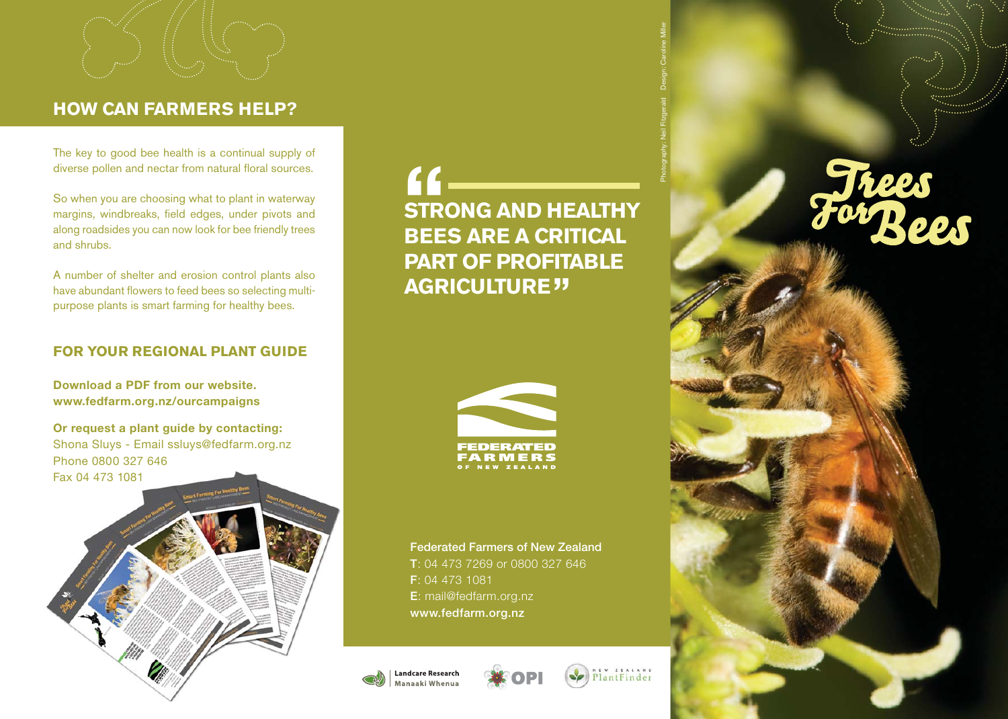# **HOW CAN FARMERS HELP?**

The key to good bee health is a continual supply of diverse pollen and nectar from natural floral sources.

So when you are choosing what to plant in waterway margins, windbreaks, field edges, under pivots and along roadsides you can now look for bee friendly trees and shrubs.

A number of shelter and erosion control plants also have abundant flowers to feed bees so selecting multipurpose plants is smart farming for healthy bees.

## **FOR YOUR REGIONAL PLANT GUIDE**

**Download a PDF from our website.www.fedfarm.org.nz/ourcampaigns**

**Or request a plant guide by contacting:** Shona Sluys - Email ssluys@fedfarm.org.nz Phone 0800 327 646 Fax 04 473 1081

**STRONG AND HEALTHY BEES ARE A CRITICAL PART OF PROFITABLE AGRICULTURE ""**



**Federated Farmers of New Zealand T**: 04 473 7269 or 0800 327 646 **F**: 04 473 1081 **E**: mail@fedfarm.org.nz **www.fedfarm.org.nz**





aw ziaiano<br>lantFinder